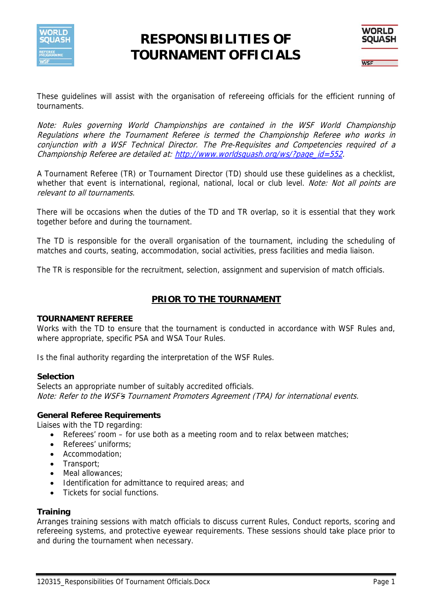

# **RESPONSIBILITIES OF TOURNAMENT OFFICIALS**



These guidelines will assist with the organisation of refereeing officials for the efficient running of tournaments.

Note: Rules governing World Championships are contained in the WSF World Championship Regulations where the Tournament Referee is termed the Championship Referee who works in conjunction with a WSF Technical Director. The Pre-Requisites and Competencies required of a Championship Referee are detailed at: http://www.worldsquash.org/ws/?page\_id=552.

A Tournament Referee (TR) or Tournament Director (TD) should use these guidelines as a checklist, whether that event is international, regional, national, local or club level. Note: Not all points are relevant to all tournaments.

There will be occasions when the duties of the TD and TR overlap, so it is essential that they work together before and during the tournament.

The TD is responsible for the overall organisation of the tournament, including the scheduling of matches and courts, seating, accommodation, social activities, press facilities and media liaison.

The TR is responsible for the recruitment, selection, assignment and supervision of match officials.

## **PRIOR TO THE TOURNAMENT**

## **TOURNAMENT REFEREE**

Works with the TD to ensure that the tournament is conducted in accordance with WSF Rules and, where appropriate, specific PSA and WSA Tour Rules.

Is the final authority regarding the interpretation of the WSF Rules.

## **Selection**

Selects an appropriate number of suitably accredited officials. Note: Refer to the WSF's Tournament Promoters Agreement (TPA) for international events.

## **General Referee Requirements**

Liaises with the TD regarding:

- Referees' room for use both as a meeting room and to relax between matches;
- Referees' uniforms;
- Accommodation;
- Transport:
- Meal allowances:
- Identification for admittance to required areas; and
- Tickets for social functions.

## **Training**

Arranges training sessions with match officials to discuss current Rules, Conduct reports, scoring and refereeing systems, and protective eyewear requirements. These sessions should take place prior to and during the tournament when necessary.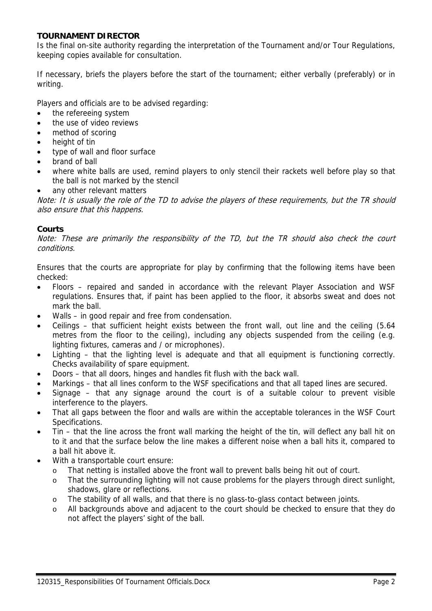## **TOURNAMENT DIRECTOR**

Is the final on-site authority regarding the interpretation of the Tournament and/or Tour Regulations, keeping copies available for consultation.

If necessary, briefs the players before the start of the tournament; either verbally (preferably) or in writing.

Players and officials are to be advised regarding:

- the refereeing system
- the use of video reviews
- method of scoring
- height of tin
- type of wall and floor surface
- brand of ball
- where white balls are used, remind players to only stencil their rackets well before play so that the ball is not marked by the stencil
- any other relevant matters

Note: It is usually the role of the TD to advise the players of these requirements, but the TR should also ensure that this happens.

## **Courts**

Note: These are primarily the responsibility of the TD, but the TR should also check the court conditions.

Ensures that the courts are appropriate for play by confirming that the following items have been checked:

- Floors repaired and sanded in accordance with the relevant Player Association and WSF regulations. Ensures that, if paint has been applied to the floor, it absorbs sweat and does not mark the ball.
- Walls in good repair and free from condensation.
- Ceilings that sufficient height exists between the front wall, out line and the ceiling (5.64 metres from the floor to the ceiling), including any objects suspended from the ceiling (e.g. lighting fixtures, cameras and / or microphones).
- Lighting that the lighting level is adequate and that all equipment is functioning correctly. Checks availability of spare equipment.
- Doors that all doors, hinges and handles fit flush with the back wall.
- Markings that all lines conform to the WSF specifications and that all taped lines are secured.
- Signage that any signage around the court is of a suitable colour to prevent visible interference to the players.
- That all gaps between the floor and walls are within the acceptable tolerances in the WSF Court Specifications.
- Tin that the line across the front wall marking the height of the tin, will deflect any ball hit on to it and that the surface below the line makes a different noise when a ball hits it, compared to a ball hit above it.
- With a transportable court ensure:
	- o That netting is installed above the front wall to prevent balls being hit out of court.
	- o That the surrounding lighting will not cause problems for the players through direct sunlight, shadows, glare or reflections.
	- o The stability of all walls, and that there is no glass-to-glass contact between joints.
	- o All backgrounds above and adjacent to the court should be checked to ensure that they do not affect the players' sight of the ball.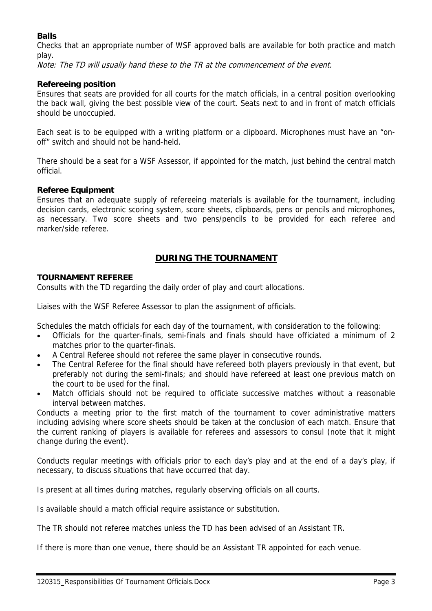## **Balls**

Checks that an appropriate number of WSF approved balls are available for both practice and match play.

Note: The TD will usually hand these to the TR at the commencement of the event.

## **Refereeing position**

Ensures that seats are provided for all courts for the match officials, in a central position overlooking the back wall, giving the best possible view of the court. Seats next to and in front of match officials should be unoccupied.

Each seat is to be equipped with a writing platform or a clipboard. Microphones must have an "onoff" switch and should not be hand-held.

There should be a seat for a WSF Assessor, if appointed for the match, just behind the central match official.

## **Referee Equipment**

Ensures that an adequate supply of refereeing materials is available for the tournament, including decision cards, electronic scoring system, score sheets, clipboards, pens or pencils and microphones, as necessary. Two score sheets and two pens/pencils to be provided for each referee and marker/side referee.

## **DURING THE TOURNAMENT**

## **TOURNAMENT REFEREE**

Consults with the TD regarding the daily order of play and court allocations.

Liaises with the WSF Referee Assessor to plan the assignment of officials.

Schedules the match officials for each day of the tournament, with consideration to the following:

- Officials for the quarter-finals, semi-finals and finals should have officiated a minimum of 2 matches prior to the quarter-finals.
- A Central Referee should not referee the same player in consecutive rounds.
- The Central Referee for the final should have refereed both players previously in that event, but preferably not during the semi-finals; and should have refereed at least one previous match on the court to be used for the final.
- Match officials should not be required to officiate successive matches without a reasonable interval between matches.

Conducts a meeting prior to the first match of the tournament to cover administrative matters including advising where score sheets should be taken at the conclusion of each match. Ensure that the current ranking of players is available for referees and assessors to consul (note that it might change during the event).

Conducts regular meetings with officials prior to each day's play and at the end of a day's play, if necessary, to discuss situations that have occurred that day.

Is present at all times during matches, regularly observing officials on all courts.

Is available should a match official require assistance or substitution.

The TR should not referee matches unless the TD has been advised of an Assistant TR.

If there is more than one venue, there should be an Assistant TR appointed for each venue.